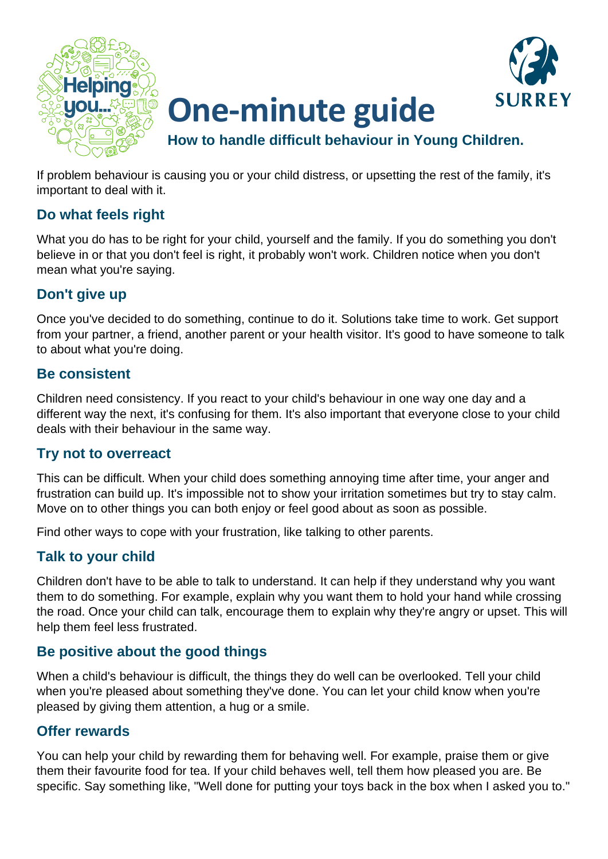

# **One-minute guide**



**How to handle difficult behaviour in Young Children.**

If problem behaviour is causing you or your child distress, or upsetting the rest of the family, it's important to deal with it.

#### **Do what feels right**

What you do has to be right for your child, yourself and the family. If you do something you don't believe in or that you don't feel is right, it probably won't work. Children notice when you don't mean what you're saying.

### **Don't give up**

Once you've decided to do something, continue to do it. Solutions take time to work. Get support from your partner, a friend, another parent or your health visitor. It's good to have someone to talk to about what you're doing.

#### **Be consistent**

Children need consistency. If you react to your child's behaviour in one way one day and a different way the next, it's confusing for them. It's also important that everyone close to your child deals with their behaviour in the same way.

#### **Try not to overreact**

This can be difficult. When your child does something annoying time after time, your anger and frustration can build up. It's impossible not to show your irritation sometimes but try to stay calm. Move on to other things you can both enjoy or feel good about as soon as possible.

Find other ways to cope with your frustration, like talking to other parents.

### **Talk to your child**

Children don't have to be able to talk to understand. It can help if they understand why you want them to do something. For example, explain why you want them to hold your hand while crossing the road. Once your child can talk, encourage them to explain why they're angry or upset. This will help them feel less frustrated.

#### **Be positive about the good things**

When a child's behaviour is difficult, the things they do well can be overlooked. Tell your child when you're pleased about something they've done. You can let your child know when you're pleased by giving them attention, a hug or a smile.

#### **Offer rewards**

You can help your child by rewarding them for behaving well. For example, praise them or give them their favourite food for tea. If your child behaves well, tell them how pleased you are. Be specific. Say something like, "Well done for putting your toys back in the box when I asked you to."